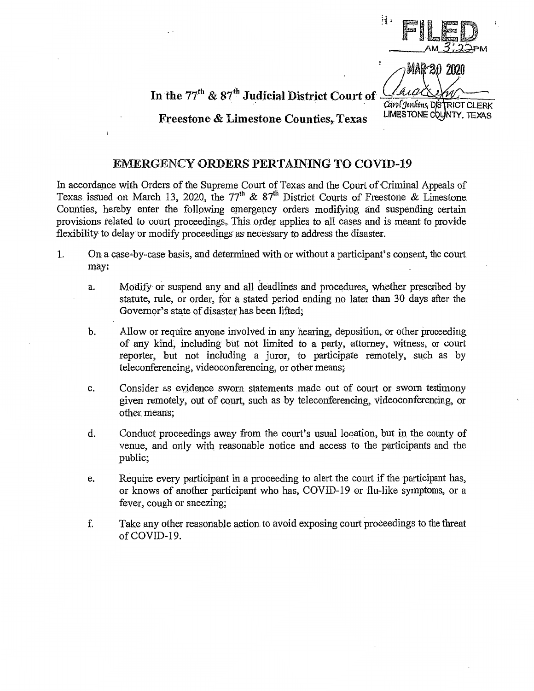*!i=* F~lE  $AM \overline{3}, \overline{3}$ PM

 $\sim$  MAR 20 2020

In the  $77^{\text{th}}$  &  $87^{\text{th}}$  Judicial District Court of  $\frac{\text{GALALW}}{\text{Carol}$  Jenkins, DS RICT CLERK

## LIMESTONE COUNTY, TEXAS

## Freestone & Limestone Counties, Texas

## EMERGENCY ORDERS PERTAINING TO COVID-19

In accordance with Orders of the Supreme Court of Texas and the Court of Criminal Appeals of Texas issued on March 13, 2020, the 77<sup>th</sup> & 87<sup>th</sup> District Courts of Freestone & Limestone Counties, hereby enter the following emergency orders modifying and suspending certain provisions related to court proceedings,, This order applies to all cases and is meant to provide flexibility to delay or modify proceedings as necessary to address the disaster.

- l. On a case-by-case basis, and determined with or without a participant's consent, the court may:
	- a. Modify or suspend any and all deadlines and procedures, whether prescribed by statute, rule, or order, for a stated period ending no later than 30 days after the Governor's state of disaster has been lifted;
	- b. Allow or require anyone involved in any hearing, deposition, or other proceeding of any kind, including but not limited to a party, attorney, \\fitness, or court reporter, but not including a juror, to participate remotely, such as by teleconferencing, videoconferencing, or other means;
	- c. Consider as evidence sworn statements made out of court or sworn testimony given remotely, out of court, such as by teleconferencing, videoconferencing, or other means;
	- d. Conduct proceedings away from the court's usual location, but in the county of venue, and only with reasonable notice and access to the participants and the public;
	- e. Require every participant in a proceeding to alert the court if the participant has, or knows of another participant who has, COVID-19 or flu-like symptoms, or a fever, cough or sneezing;
	- f. Take any other reasonable action to avoid exposing court proceedings to the threat of COVID-19.